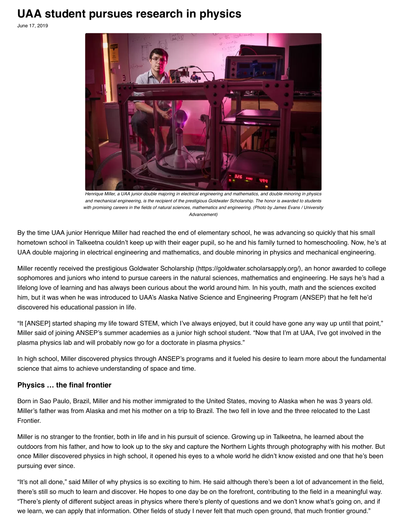## **UAA student pursues research in physics**

June 17, 2019



Henrique Miller, a UAA junior double majoring in electrical engineering and mathematics, and double minoring in physics and mechanical engineering, is the recipient of the prestigious Goldwater Scholarship. The honor is awarded to students with promising careers in the fields of natural sciences, mathematics and engineering. (Photo by James Evans / University Advancement)

By the time UAA junior Henrique Miller had reached the end of elementary school, he was advancing so quickly that his small hometown school in Talkeetna couldn't keep up with their eager pupil, so he and his family turned to homeschooling. Now, he's at UAA double majoring in electrical engineering and mathematics, and double minoring in physics and mechanical engineering.

Miller recently received the prestigious Goldwater Scholarship (https://goldwater.scholarsapply.org/), an honor awarded to college sophomores and juniors who intend to pursue careers in the natural sciences, mathematics and engineering. He says he's had a lifelong love of learning and has always been curious about the world around him. In his youth, math and the sciences excited him, but it was when he was introduced to UAA's Alaska Native Science and Engineering Program (ANSEP) that he felt he'd discovered his educational passion in life.

"It [ANSEP] started shaping my life toward STEM, which I've always enjoyed, but it could have gone any way up until that point," Miller said of joining ANSEP's summer academies as a junior high school student. "Now that I'm at UAA, I've got involved in the plasma physics lab and will probably now go for a doctorate in plasma physics."

In high school, Miller discovered physics through ANSEP's programs and it fueled his desire to learn more about the fundamental science that aims to achieve understanding of space and time.

## **Physics … the final frontier**

Born in Sao Paulo, Brazil, Miller and his mother immigrated to the United States, moving to Alaska when he was 3 years old. Miller's father was from Alaska and met his mother on a trip to Brazil. The two fell in love and the three relocated to the Last Frontier.

Miller is no stranger to the frontier, both in life and in his pursuit of science. Growing up in Talkeetna, he learned about the outdoors from his father, and how to look up to the sky and capture the Northern Lights through photography with his mother. But once Miller discovered physics in high school, it opened his eyes to a whole world he didn't know existed and one that he's been pursuing ever since.

"It's not all done," said Miller of why physics is so exciting to him. He said although there's been a lot of advancement in the field, there's still so much to learn and discover. He hopes to one day be on the forefront, contributing to the field in a meaningful way. "There's plenty of different subject areas in physics where there's plenty of questions and we don't know what's going on, and if we learn, we can apply that information. Other fields of study I never felt that much open ground, that much frontier ground."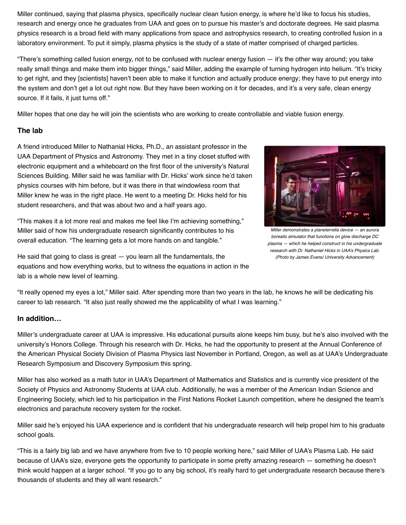Miller continued, saying that plasma physics, specifically nuclear clean fusion energy, is where he'd like to focus his studies, research and energy once he graduates from UAA and goes on to pursue his master's and doctorate degrees. He said plasma physics research is a broad field with many applications from space and astrophysics research, to creating controlled fusion in a laboratory environment. To put it simply, plasma physics is the study of a state of matter comprised of charged particles.

"There's something called fusion energy, not to be confused with nuclear energy fusion — it's the other way around; you take really small things and make them into bigger things," said Miller, adding the example of turning hydrogen into helium. "It's tricky to get right, and they [scientists] haven't been able to make it function and actually produce energy; they have to put energy into the system and don't get a lot out right now. But they have been working on it for decades, and it's a very safe, clean energy source. If it fails, it just turns off."

Miller hopes that one day he will join the scientists who are working to create controllable and viable fusion energy.

## **The lab**

A friend introduced Miller to Nathanial Hicks, Ph.D., an assistant professor in the UAA Department of Physics and Astronomy. They met in a tiny closet stuffed with electronic equipment and a whiteboard on the first floor of the university's Natural Sciences Building. Miller said he was familiar with Dr. Hicks' work since he'd taken physics courses with him before, but it was there in that windowless room that Miller knew he was in the right place. He went to a meeting Dr. Hicks held for his student researchers, and that was about two and a half years ago.

"This makes it a lot more real and makes me feel like I'm achieving something," Miller said of how his undergraduate research significantly contributes to his overall education. "The learning gets a lot more hands on and tangible."



Miller demonstrates a planeterrella device — an aurora borealis simulator that functions on glow discharge DC plasma — which he helped construct in his undergraduate research with Dr. Nathaniel Hicks in UAA's Physics Lab. (Photo by James Evans/ University Advancement)

He said that going to class is great  $-$  you learn all the fundamentals, the equations and how everything works, but to witness the equations in action in the lab is a whole new level of learning.

"It really opened my eyes a lot," Miller said. After spending more than two years in the lab, he knows he will be dedicating his career to lab research. "It also just really showed me the applicability of what I was learning."

## **In addition…**

Miller's undergraduate career at UAA is impressive. His educational pursuits alone keeps him busy, but he's also involved with the university's Honors College. Through his research with Dr. Hicks, he had the opportunity to present at the Annual Conference of the American Physical Society Division of Plasma Physics last November in Portland, Oregon, as well as at UAA's Undergraduate Research Symposium and Discovery Symposium this spring.

Miller has also worked as a math tutor in UAA's Department of Mathematics and Statistics and is currently vice president of the Society of Physics and Astronomy Students at UAA club. Additionally, he was a member of the American Indian Science and Engineering Society, which led to his participation in the First Nations Rocket Launch competition, where he designed the team's electronics and parachute recovery system for the rocket.

Miller said he's enjoyed his UAA experience and is confident that his undergraduate research will help propel him to his graduate school goals.

"This is a fairly big lab and we have anywhere from five to 10 people working here," said Miller of UAA's Plasma Lab. He said because of UAA's size, everyone gets the opportunity to participate in some pretty amazing research — something he doesn't think would happen at a larger school. "If you go to any big school, it's really hard to get undergraduate research because there's thousands of students and they all want research."